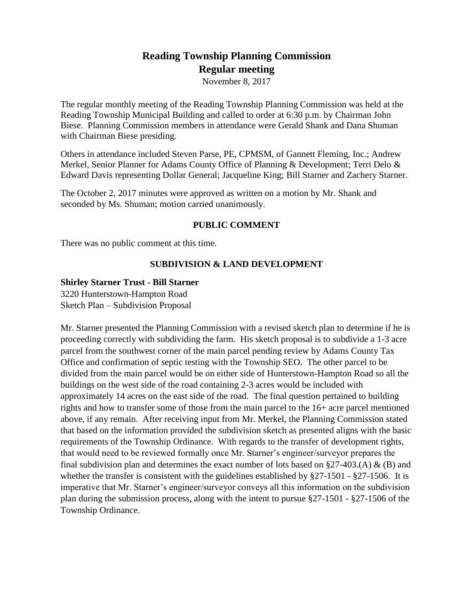# **Reading Township Planning Commission Regular meeting**

November 8, 2017

The regular monthly meeting of the Reading Township Planning Commission was held at the Reading Township Municipal Building and called to order at 6:30 p.m. by Chairman John Biese. Planning Commission members in attendance were Gerald Shank and Dana Shuman with Chairman Biese presiding.

Others in attendance included Steven Parse, PE, CPMSM, of Gannett Fleming, Inc.; Andrew Merkel, Senior Planner for Adams County Office of Planning & Development; Terri Delo & Edward Davis representing Dollar General; Jacqueline King; Bill Starner and Zachery Starner.

The October 2, 2017 minutes were approved as written on a motion by Mr. Shank and seconded by Ms. Shuman; motion carried unanimously.

## **PUBLIC COMMENT**

There was no public comment at this time.

## **SUBDIVISION & LAND DEVELOPMENT**

## **Shirley Starner Trust - Bill Starner**

3220 Hunterstown-Hampton Road Sketch Plan – Subdivision Proposal

Mr. Starner presented the Planning Commission with a revised sketch plan to determine if he is proceeding correctly with subdividing the farm. His sketch proposal is to subdivide a 1-3 acre parcel from the southwest corner of the main parcel pending review by Adams County Tax Office and confirmation of septic testing with the Township SEO. The other parcel to be divided from the main parcel would be on either side of Hunterstown-Hampton Road so all the buildings on the west side of the road containing 2-3 acres would be included with approximately 14 acres on the east side of the road. The final question pertained to building rights and how to transfer some of those from the main parcel to the 16+ acre parcel mentioned above, if any remain. After receiving input from Mr. Merkel, the Planning Commission stated that based on the information provided the subdivision sketch as presented aligns with the basic requirements of the Township Ordinance. With regards to the transfer of development rights, that would need to be reviewed formally once Mr. Starner's engineer/surveyor prepares the final subdivision plan and determines the exact number of lots based on  $\S27-403$ .(A) & (B) and whether the transfer is consistent with the guidelines established by §27-1501 - §27-1506. It is imperative that Mr. Starner's engineer/surveyor conveys all this information on the subdivision plan during the submission process, along with the intent to pursue §27-1501 - §27-1506 of the Township Ordinance.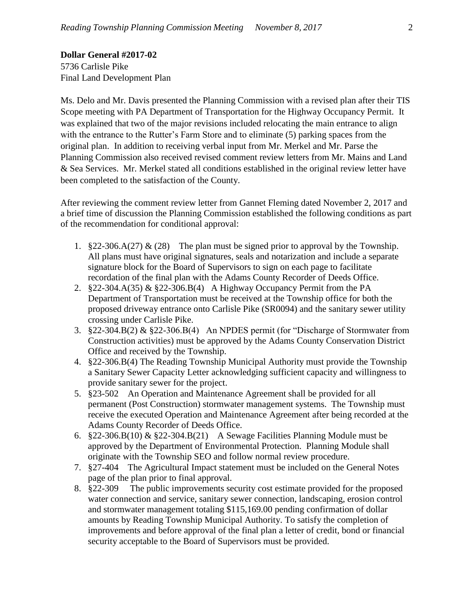**Dollar General #2017-02** 5736 Carlisle Pike Final Land Development Plan

Ms. Delo and Mr. Davis presented the Planning Commission with a revised plan after their TIS Scope meeting with PA Department of Transportation for the Highway Occupancy Permit. It was explained that two of the major revisions included relocating the main entrance to align with the entrance to the Rutter's Farm Store and to eliminate (5) parking spaces from the original plan. In addition to receiving verbal input from Mr. Merkel and Mr. Parse the Planning Commission also received revised comment review letters from Mr. Mains and Land & Sea Services. Mr. Merkel stated all conditions established in the original review letter have been completed to the satisfaction of the County.

After reviewing the comment review letter from Gannet Fleming dated November 2, 2017 and a brief time of discussion the Planning Commission established the following conditions as part of the recommendation for conditional approval:

- 1.  $§22-306.\dot{A}(27) \& (28)$  The plan must be signed prior to approval by the Township. All plans must have original signatures, seals and notarization and include a separate signature block for the Board of Supervisors to sign on each page to facilitate recordation of the final plan with the Adams County Recorder of Deeds Office.
- 2. §22-304.A(35) & §22-306.B(4) A Highway Occupancy Permit from the PA Department of Transportation must be received at the Township office for both the proposed driveway entrance onto Carlisle Pike (SR0094) and the sanitary sewer utility crossing under Carlisle Pike.
- 3. §22-304.B(2) & §22-306.B(4) An NPDES permit (for "Discharge of Stormwater from Construction activities) must be approved by the Adams County Conservation District Office and received by the Township.
- 4. §22-306.B(4) The Reading Township Municipal Authority must provide the Township a Sanitary Sewer Capacity Letter acknowledging sufficient capacity and willingness to provide sanitary sewer for the project.
- 5. §23-502 An Operation and Maintenance Agreement shall be provided for all permanent (Post Construction) stormwater management systems. The Township must receive the executed Operation and Maintenance Agreement after being recorded at the Adams County Recorder of Deeds Office.
- 6. §22-306.B(10) & §22-304.B(21) A Sewage Facilities Planning Module must be approved by the Department of Environmental Protection. Planning Module shall originate with the Township SEO and follow normal review procedure.
- 7. §27-404 The Agricultural Impact statement must be included on the General Notes page of the plan prior to final approval.
- 8. §22-309 The public improvements security cost estimate provided for the proposed water connection and service, sanitary sewer connection, landscaping, erosion control and stormwater management totaling \$115,169.00 pending confirmation of dollar amounts by Reading Township Municipal Authority. To satisfy the completion of improvements and before approval of the final plan a letter of credit, bond or financial security acceptable to the Board of Supervisors must be provided.